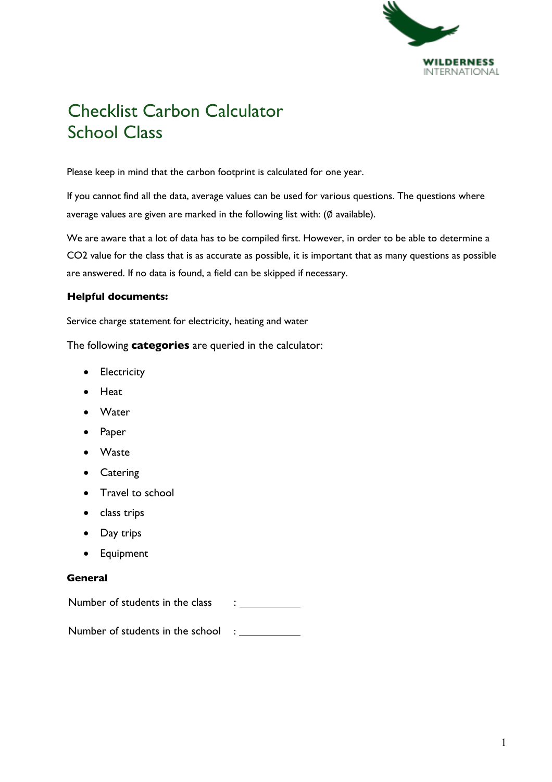

# Checklist Carbon Calculator School Class

Please keep in mind that the carbon footprint is calculated for one year.

If you cannot find all the data, average values can be used for various questions. The questions where average values are given are marked in the following list with: (Ø available).

We are aware that a lot of data has to be compiled first. However, in order to be able to determine a CO2 value for the class that is as accurate as possible, it is important that as many questions as possible are answered. If no data is found, a field can be skipped if necessary.

### **Helpful documents:**

Service charge statement for electricity, heating and water

The following **categories** are queried in the calculator:

- Electricity
- Heat
- Water
- Paper
- Waste
- Catering
- Travel to school
- class trips
- Day trips
- Equipment

#### **General**

Number of students in the class :

Number of students in the school :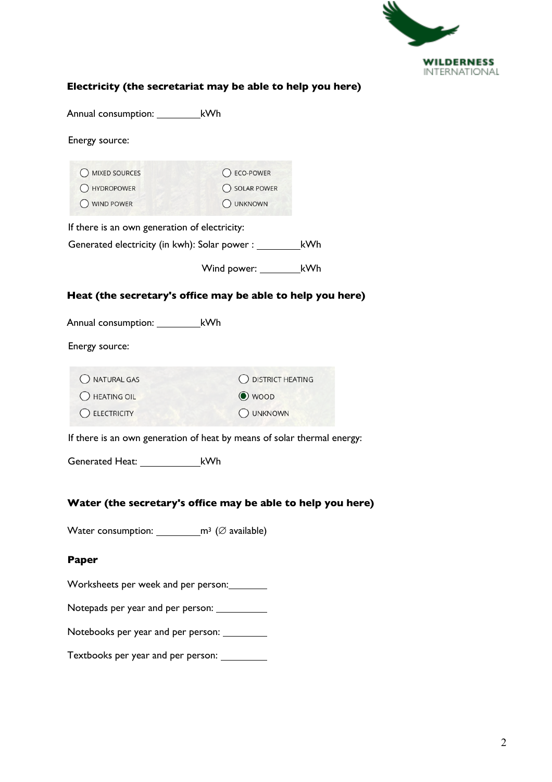

## **Electricity (the secretariat may be able to help you here)**

Annual consumption: \_\_\_\_\_\_\_\_\_\_\_\_kWh

Energy source:

| O MIXED SOURCES                                                             | ◯ ECO-POWER                                                                      |  |  |  |  |
|-----------------------------------------------------------------------------|----------------------------------------------------------------------------------|--|--|--|--|
| O HYDROPOWER                                                                | O SOLAR POWER                                                                    |  |  |  |  |
| WIND POWER                                                                  | O UNKNOWN                                                                        |  |  |  |  |
| If there is an own generation of electricity:                               |                                                                                  |  |  |  |  |
|                                                                             | Generated electricity (in kwh): Solar power : __________________________________ |  |  |  |  |
|                                                                             | Wind power: _______________kWh                                                   |  |  |  |  |
|                                                                             | Heat (the secretary's office may be able to help you here)                       |  |  |  |  |
| Annual consumption: ____________kWh                                         |                                                                                  |  |  |  |  |
| Energy source:                                                              |                                                                                  |  |  |  |  |
| O NATURAL GAS                                                               | O DISTRICT HEATING                                                               |  |  |  |  |
| O HEATING OIL                                                               | $\odot$ woop                                                                     |  |  |  |  |
| C ELECTRICITY                                                               | O UNKNOWN                                                                        |  |  |  |  |
|                                                                             | If there is an own generation of heat by means of solar thermal energy:          |  |  |  |  |
|                                                                             |                                                                                  |  |  |  |  |
|                                                                             | Water (the secretary's office may be able to help you here)                      |  |  |  |  |
|                                                                             |                                                                                  |  |  |  |  |
| Water consumption: _______________m <sup>3</sup> ( $\varnothing$ available) |                                                                                  |  |  |  |  |
| Paper                                                                       |                                                                                  |  |  |  |  |
|                                                                             |                                                                                  |  |  |  |  |

Worksheets per week and per person:

Notepads per year and per person:

Notebooks per year and per person:

Textbooks per year and per person: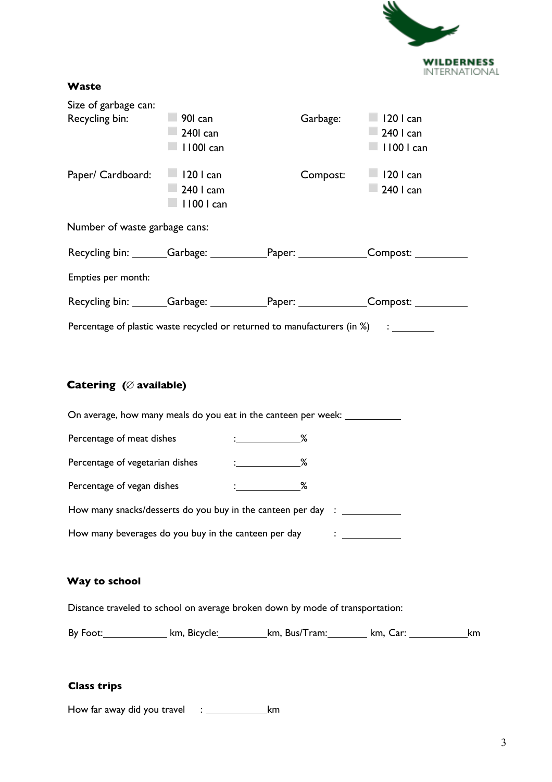

#### **Waste**

| Size of garbage can:          |                   |                                                                                   |                                                                                        |
|-------------------------------|-------------------|-----------------------------------------------------------------------------------|----------------------------------------------------------------------------------------|
| Recycling bin: 90 can         |                   | Garbage: 120 I can                                                                |                                                                                        |
|                               | $\Box$ 2401 can   |                                                                                   | $\Box$ 240   can                                                                       |
|                               | $\Box$ 11001 can  |                                                                                   | $\Box$ 1100 l can                                                                      |
| Paper/ Cardboard: 120 I can   |                   | Compost: 120 I can                                                                |                                                                                        |
|                               | $\Box$ 240 l cam  |                                                                                   | $\Box$ 240   can                                                                       |
|                               | $\Box$ 1100 l can |                                                                                   |                                                                                        |
| Number of waste garbage cans: |                   |                                                                                   |                                                                                        |
|                               |                   |                                                                                   | Recycling bin: _______Garbage: _____________Paper: _______________Compost: ___________ |
| Empties per month:            |                   |                                                                                   |                                                                                        |
|                               |                   |                                                                                   | Recycling bin: _______Garbage: _____________Paper: _______________Compost: ___________ |
|                               |                   | Percentage of plastic waste recycled or returned to manufacturers (in %) : ______ |                                                                                        |

# **Catering (**! **available)**

| On average, how many meals do you eat in the canteen per week: _______ |                                                                                                              |      |  |
|------------------------------------------------------------------------|--------------------------------------------------------------------------------------------------------------|------|--|
| Percentage of meat dishes                                              | $\sim$ . $\sim$ $\sim$ $\sim$                                                                                |      |  |
| Percentage of vegetarian dishes                                        | $\mathcal{L} = \mathcal{L} \left( \mathcal{L} \right)$ . The set of $\mathcal{L} \left( \mathcal{L} \right)$ | $\%$ |  |
| Percentage of vegan dishes                                             |                                                                                                              | ℅    |  |
| How many snacks/desserts do you buy in the canteen per day : _______   |                                                                                                              |      |  |
| How many beverages do you buy in the canteen per day                   |                                                                                                              |      |  |
|                                                                        |                                                                                                              |      |  |

# **Way to school**

Distance traveled to school on average broken down by mode of transportation:

By Foot: km, Bicycle: km, Bus/Tram: km, Car: km. Car: km

### **Class trips**

How far away did you travel  $\therefore$  km